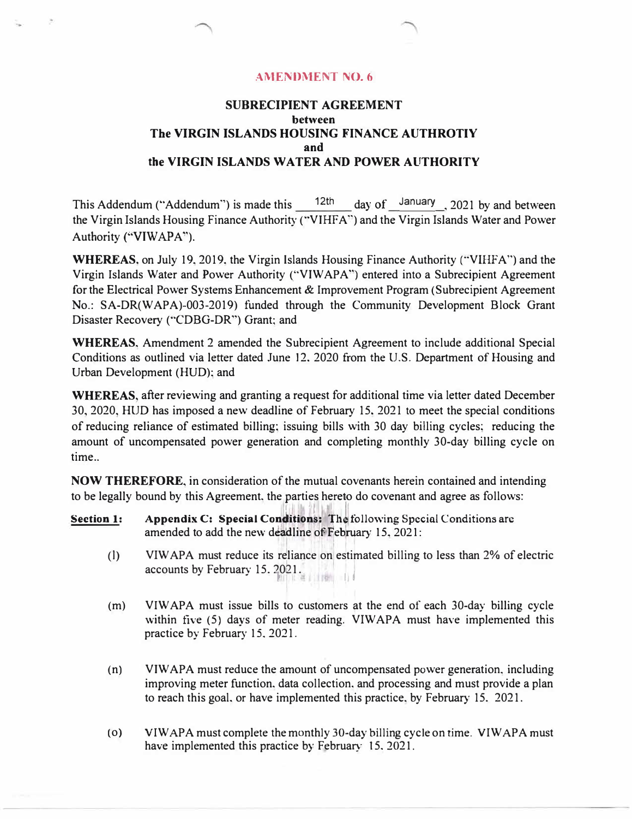## **AMENDMENT NO. 6**

## **SUBRECIPIENT AGREEMENT between The VIRGIN ISLANDS HOUSING FINANCE AUTHROTIY and the VIRGIN ISLANDS WATER AND POWER AUTHORITY**

This Addendum ("Addendum") is made this  $12$ <sup>th</sup> day of January 2021 by and between the Virgin Islands Housing Finance Authority ("VIHFA") and the Virgin Islands Water and Power Authority ("VIWAPA").

**WHEREAS,** on July 19,2019, the Virgin Islands Housing Finance Authority ("VIHFA'') and the Virgin Islands Water and Power Authority (''VIW APA") entered into a Subrecipient Agreement for the Electrical Power Systems Enhancement & Improvement Program (Subrecipient Agreement No.: SA-DR(WAPA)-003-2019) funded through the Community Development Block Grant Disaster Recovery ("CDBG-DR") Grant; and

**WHEREAS.** Amendment 2 amended the Subrecipient Agreement to include additional Special Conditions as outlined via letter dated June 12, 2020 from the U.S. Department of Housing and Urban Development (HUD); and

**WHEREAS,** after reviewing and granting a request for additional time via letter dated December 30, 2020, HUD has imposed a new deadline of February 15, 2021 to meet the special conditions of reducing reliance of estimated billing; issuing bills with 30 day billing cycles; reducing the amount of uncompensated power generation and completing monthly 30-day billing cycle on time..

**NOW THEREFORE,** in consideration of the mutual covenants herein contained and intending to be legally bound by this Agreement. the parties hereto do covenant and agree as follows:

- purites ne **Section 1:** Appendix C: Special Conditions: The following Special Conditions are amended to add the new deadline of February 15, 2021:
	- (1) VIW APA must reduce its reliance on estimated billing to less than 2% of electric accounts by February 15. 2021.
	- (m) VIW APA must issue bills to customers at the end of each 30-day billing cycle within five (5) days of meter reading. VIW APA must have implemented this practice by February 15, 2021.
	- (n) VIW APA must reduce the amount of uncompensated power generation, including improving meter function. data collection. and processing and must provide a plan to reach this goal. or have implemented this practice. by February 15. 2021.
	- (o) VIWAPA must complete the monthly 30-day billing cycle on time. VIWAPA must have implemented this practice by February 15, 2021.